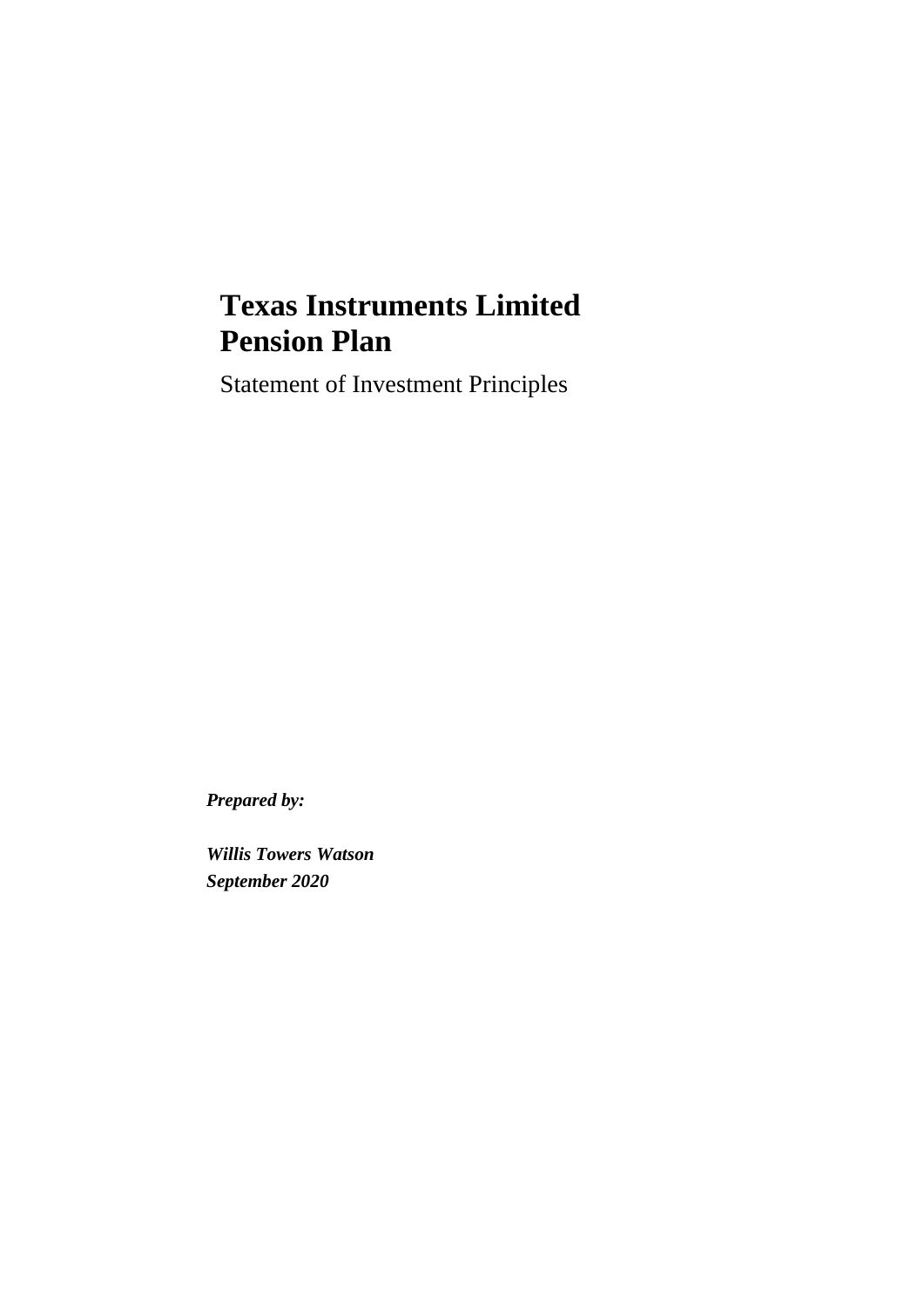# **Texas Instruments Limited Pension Plan**

Statement of Investment Principles

*Prepared by:*

*Willis Towers Watson September 2020*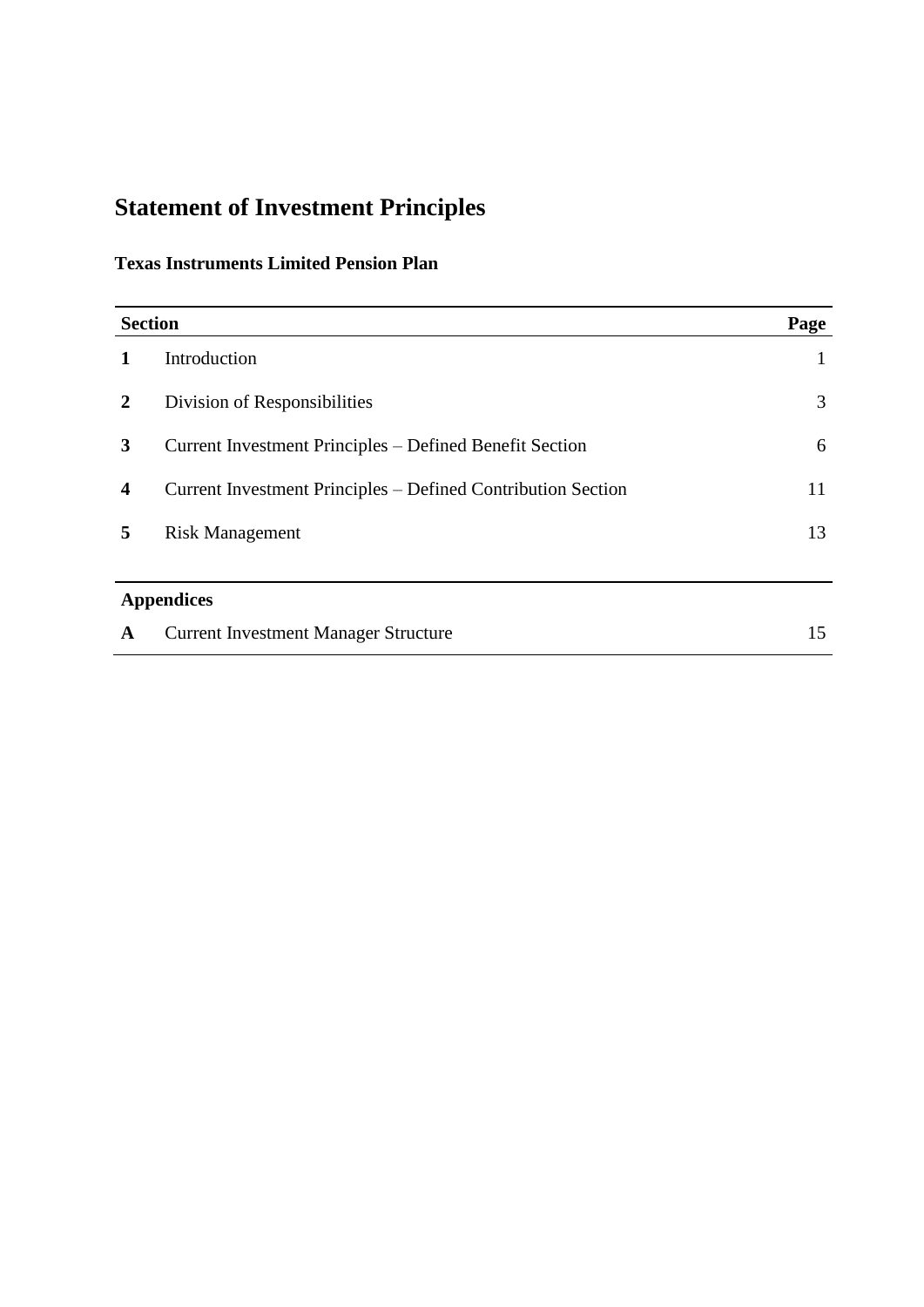## **Statement of Investment Principles**

## **Texas Instruments Limited Pension Plan**

| <b>Section</b><br>Page |                                                              |    |
|------------------------|--------------------------------------------------------------|----|
|                        | Introduction                                                 | 1  |
| 2                      | Division of Responsibilities                                 | 3  |
| 3                      | Current Investment Principles – Defined Benefit Section      | 6  |
| 4                      | Current Investment Principles – Defined Contribution Section | 11 |
| 5                      | <b>Risk Management</b>                                       | 13 |
|                        |                                                              |    |
| <b>Appendices</b>      |                                                              |    |
| A                      | <b>Current Investment Manager Structure</b>                  | 15 |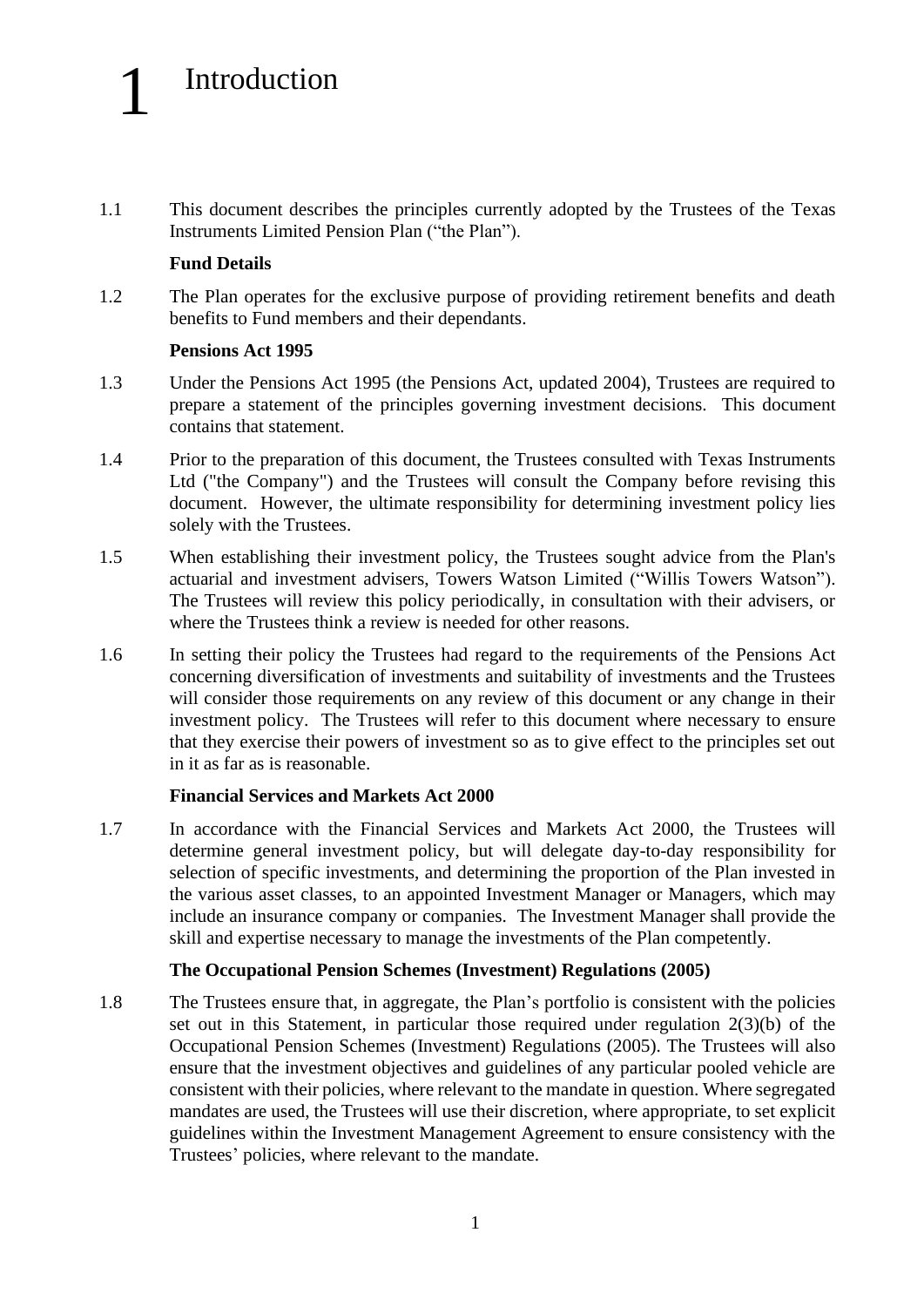# Introduction

1.1 This document describes the principles currently adopted by the Trustees of the Texas Instruments Limited Pension Plan ("the Plan").

#### **Fund Details**

1

1.2 The Plan operates for the exclusive purpose of providing retirement benefits and death benefits to Fund members and their dependants.

#### **Pensions Act 1995**

- 1.3 Under the Pensions Act 1995 (the Pensions Act, updated 2004), Trustees are required to prepare a statement of the principles governing investment decisions. This document contains that statement.
- 1.4 Prior to the preparation of this document, the Trustees consulted with Texas Instruments Ltd ("the Company") and the Trustees will consult the Company before revising this document. However, the ultimate responsibility for determining investment policy lies solely with the Trustees.
- 1.5 When establishing their investment policy, the Trustees sought advice from the Plan's actuarial and investment advisers, Towers Watson Limited ("Willis Towers Watson"). The Trustees will review this policy periodically, in consultation with their advisers, or where the Trustees think a review is needed for other reasons.
- 1.6 In setting their policy the Trustees had regard to the requirements of the Pensions Act concerning diversification of investments and suitability of investments and the Trustees will consider those requirements on any review of this document or any change in their investment policy. The Trustees will refer to this document where necessary to ensure that they exercise their powers of investment so as to give effect to the principles set out in it as far as is reasonable.

#### **Financial Services and Markets Act 2000**

1.7 In accordance with the Financial Services and Markets Act 2000, the Trustees will determine general investment policy, but will delegate day-to-day responsibility for selection of specific investments, and determining the proportion of the Plan invested in the various asset classes, to an appointed Investment Manager or Managers, which may include an insurance company or companies. The Investment Manager shall provide the skill and expertise necessary to manage the investments of the Plan competently.

#### **The Occupational Pension Schemes (Investment) Regulations (2005)**

1.8 The Trustees ensure that, in aggregate, the Plan's portfolio is consistent with the policies set out in this Statement, in particular those required under regulation 2(3)(b) of the Occupational Pension Schemes (Investment) Regulations (2005). The Trustees will also ensure that the investment objectives and guidelines of any particular pooled vehicle are consistent with their policies, where relevant to the mandate in question. Where segregated mandates are used, the Trustees will use their discretion, where appropriate, to set explicit guidelines within the Investment Management Agreement to ensure consistency with the Trustees' policies, where relevant to the mandate.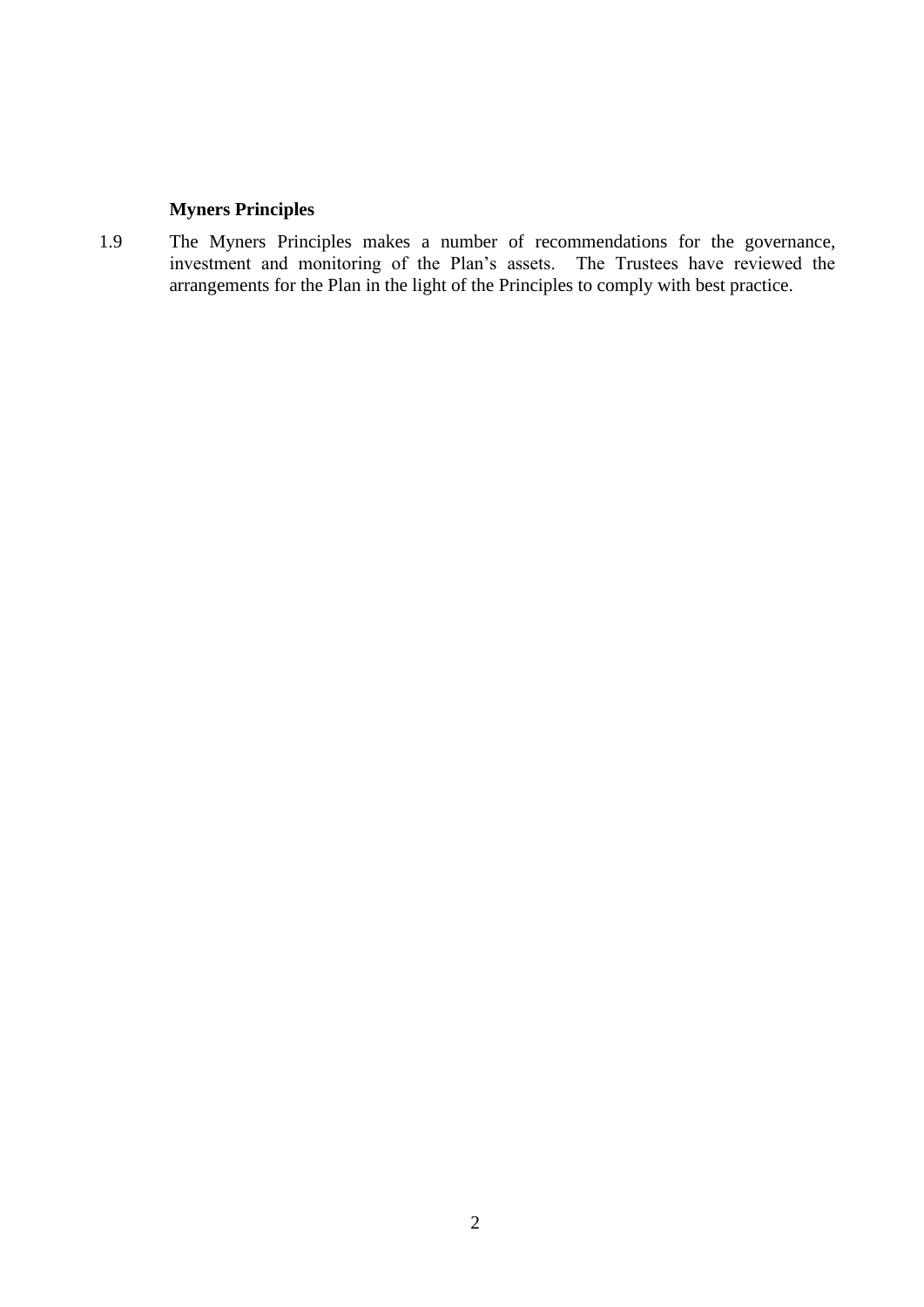#### **Myners Principles**

1.9 The Myners Principles makes a number of recommendations for the governance, investment and monitoring of the Plan's assets. The Trustees have reviewed the arrangements for the Plan in the light of the Principles to comply with best practice.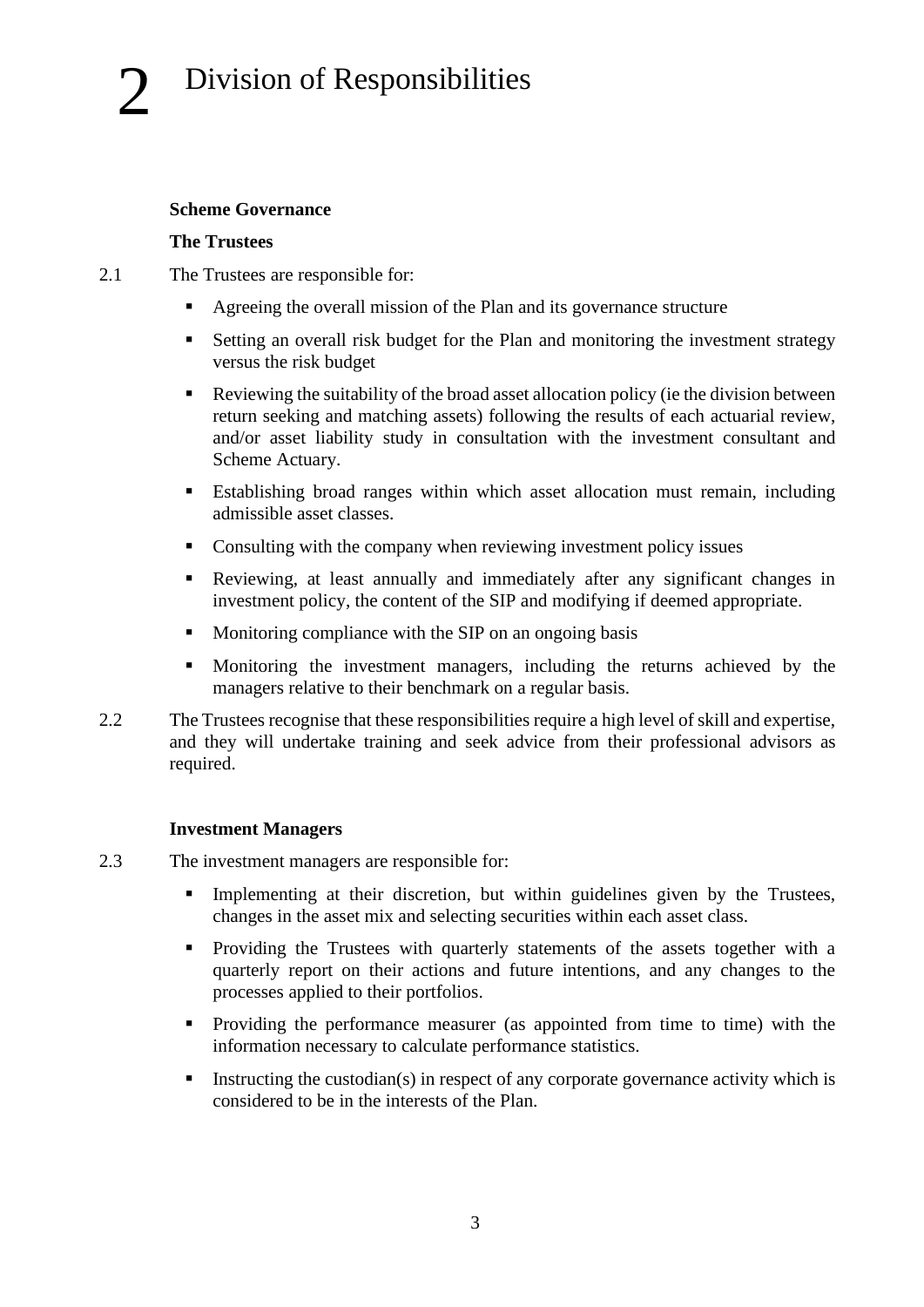#### **Scheme Governance**

#### **The Trustees**

- 2.1 The Trustees are responsible for:
	- Agreeing the overall mission of the Plan and its governance structure
	- Setting an overall risk budget for the Plan and monitoring the investment strategy versus the risk budget
	- Reviewing the suitability of the broad asset allocation policy (ie the division between return seeking and matching assets) following the results of each actuarial review, and/or asset liability study in consultation with the investment consultant and Scheme Actuary.
	- **Establishing broad ranges within which asset allocation must remain, including** admissible asset classes.
	- Consulting with the company when reviewing investment policy issues
	- Reviewing, at least annually and immediately after any significant changes in investment policy, the content of the SIP and modifying if deemed appropriate.
	- Monitoring compliance with the SIP on an ongoing basis
	- Monitoring the investment managers, including the returns achieved by the managers relative to their benchmark on a regular basis.
- 2.2 The Trustees recognise that these responsibilities require a high level of skill and expertise, and they will undertake training and seek advice from their professional advisors as required.

#### **Investment Managers**

- 2.3 The investment managers are responsible for:
	- Implementing at their discretion, but within guidelines given by the Trustees, changes in the asset mix and selecting securities within each asset class.
	- **•** Providing the Trustees with quarterly statements of the assets together with a quarterly report on their actions and future intentions, and any changes to the processes applied to their portfolios.
	- Providing the performance measurer (as appointed from time to time) with the information necessary to calculate performance statistics.
	- $\blacksquare$  Instructing the custodian(s) in respect of any corporate governance activity which is considered to be in the interests of the Plan.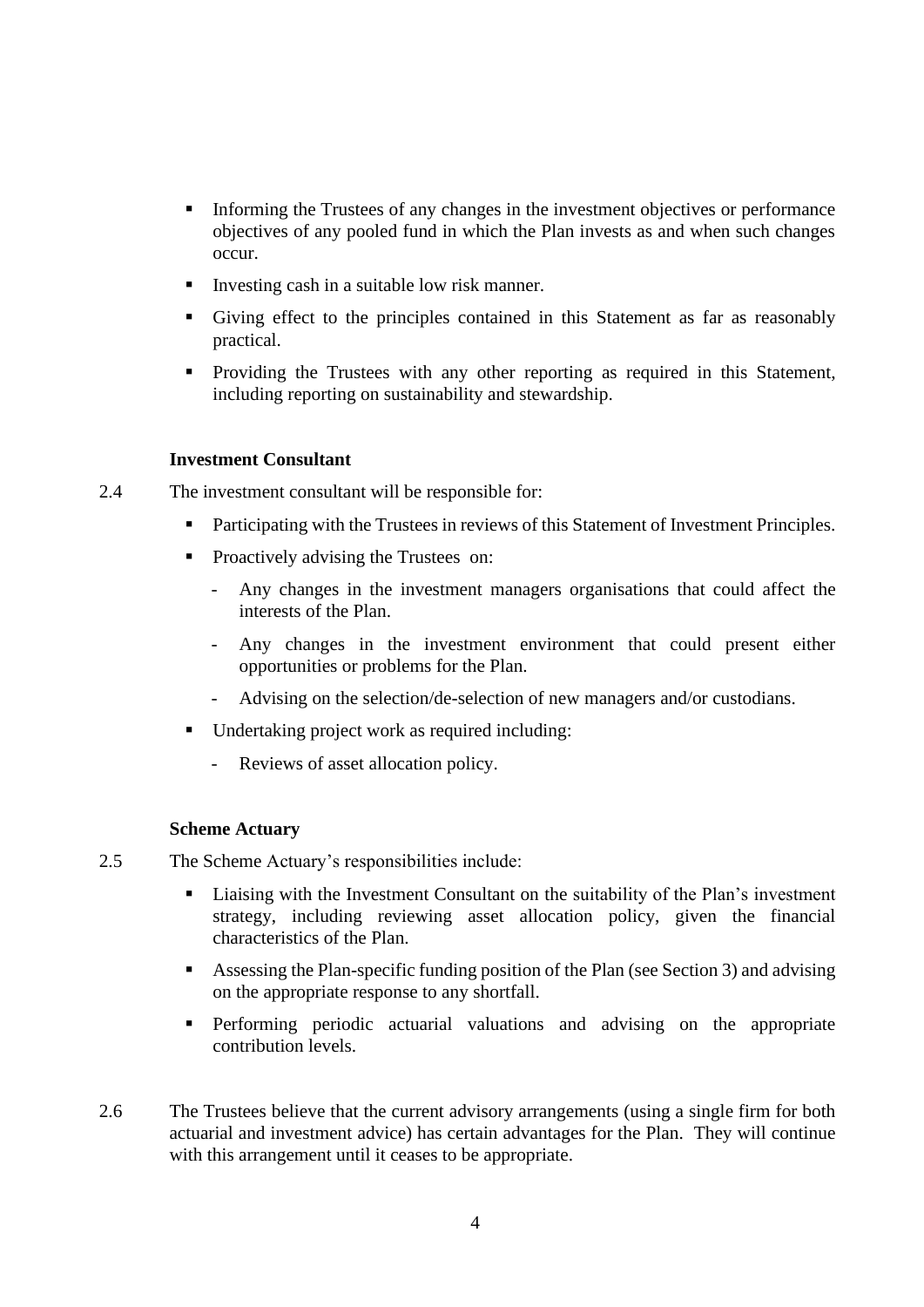- **Informing the Trustees of any changes in the investment objectives or performance** objectives of any pooled fund in which the Plan invests as and when such changes occur.
- Investing cash in a suitable low risk manner.
- Giving effect to the principles contained in this Statement as far as reasonably practical.
- **•** Providing the Trustees with any other reporting as required in this Statement, including reporting on sustainability and stewardship.

#### **Investment Consultant**

2.4 The investment consultant will be responsible for:

- Participating with the Trustees in reviews of this Statement of Investment Principles.
- Proactively advising the Trustees on:
	- Any changes in the investment managers organisations that could affect the interests of the Plan.
	- Any changes in the investment environment that could present either opportunities or problems for the Plan.
	- Advising on the selection/de-selection of new managers and/or custodians.
- Undertaking project work as required including:
	- Reviews of asset allocation policy.

#### **Scheme Actuary**

- 2.5 The Scheme Actuary's responsibilities include:
	- Liaising with the Investment Consultant on the suitability of the Plan's investment strategy, including reviewing asset allocation policy, given the financial characteristics of the Plan.
	- Assessing the Plan-specific funding position of the Plan (see Section 3) and advising on the appropriate response to any shortfall.
	- **•** Performing periodic actuarial valuations and advising on the appropriate contribution levels.
- 2.6 The Trustees believe that the current advisory arrangements (using a single firm for both actuarial and investment advice) has certain advantages for the Plan. They will continue with this arrangement until it ceases to be appropriate.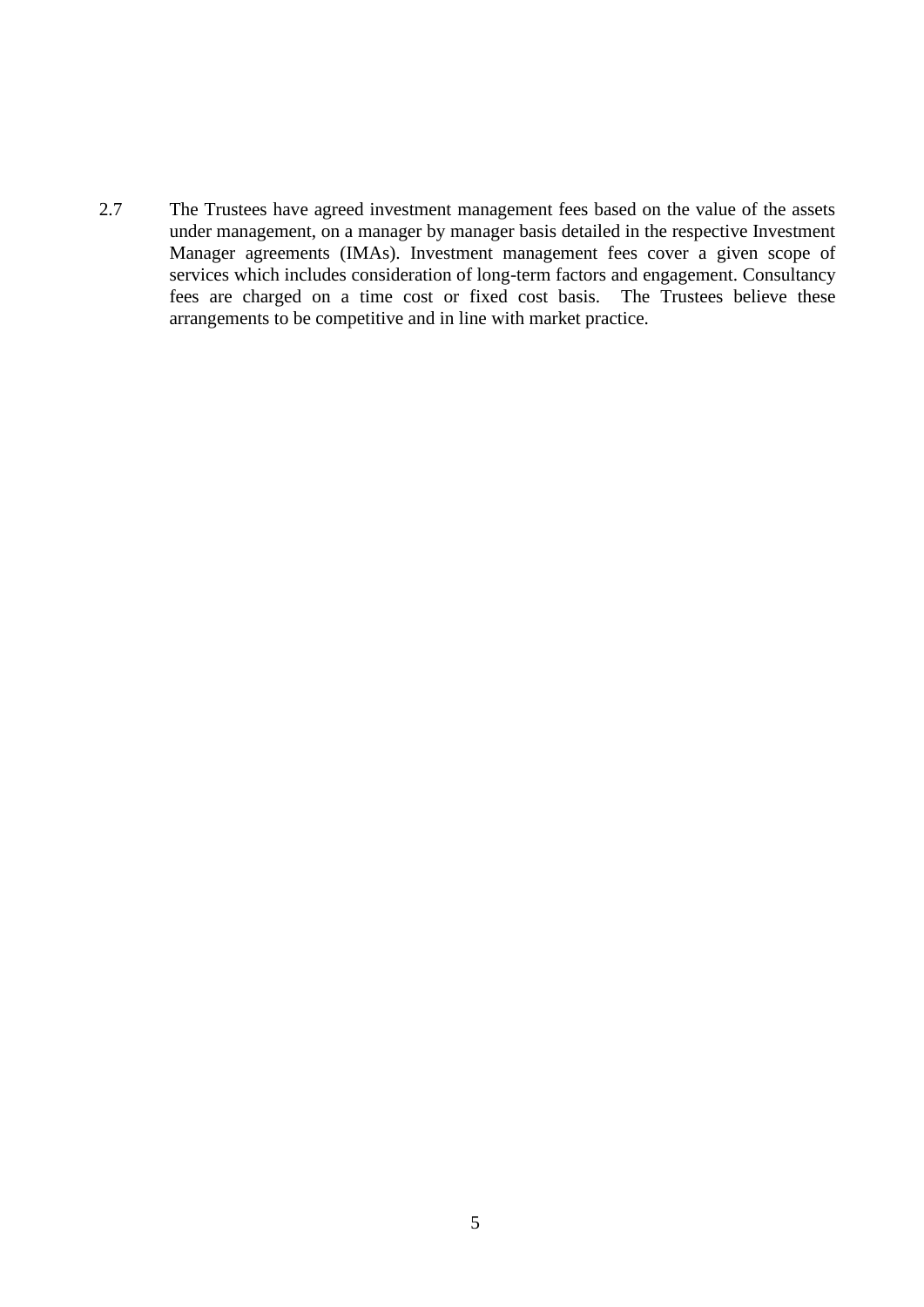2.7 The Trustees have agreed investment management fees based on the value of the assets under management, on a manager by manager basis detailed in the respective Investment Manager agreements (IMAs). Investment management fees cover a given scope of services which includes consideration of long-term factors and engagement. Consultancy fees are charged on a time cost or fixed cost basis. The Trustees believe these arrangements to be competitive and in line with market practice.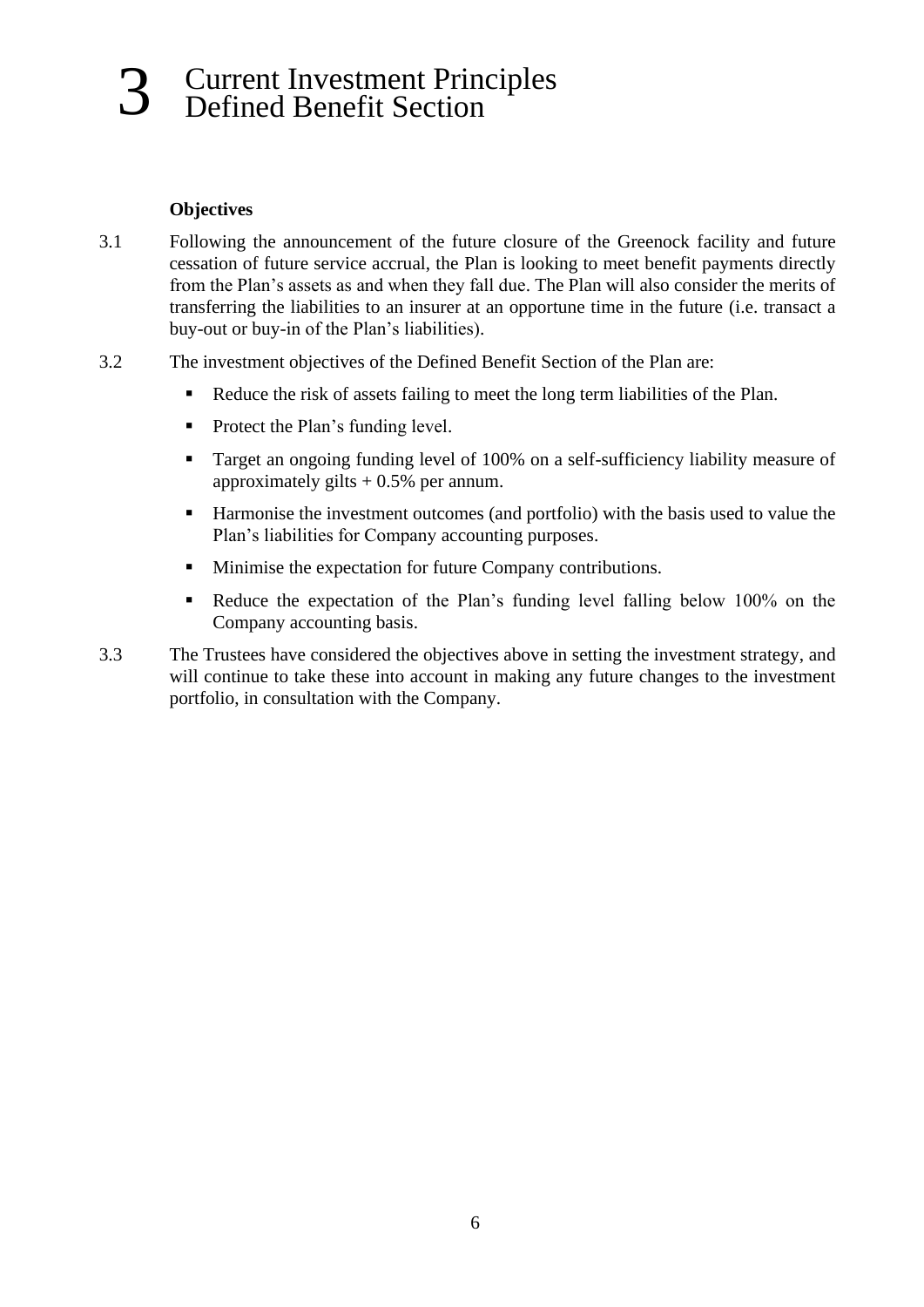## 3 Current Investment Principles Defined Benefit Section

#### **Objectives**

- 3.1 Following the announcement of the future closure of the Greenock facility and future cessation of future service accrual, the Plan is looking to meet benefit payments directly from the Plan's assets as and when they fall due. The Plan will also consider the merits of transferring the liabilities to an insurer at an opportune time in the future (i.e. transact a buy-out or buy-in of the Plan's liabilities).
- 3.2 The investment objectives of the Defined Benefit Section of the Plan are:
	- Reduce the risk of assets failing to meet the long term liabilities of the Plan.
	- Protect the Plan's funding level.
	- Target an ongoing funding level of 100% on a self-sufficiency liability measure of approximately gilts  $+ 0.5\%$  per annum.
	- Harmonise the investment outcomes (and portfolio) with the basis used to value the Plan's liabilities for Company accounting purposes.
	- Minimise the expectation for future Company contributions.
	- Reduce the expectation of the Plan's funding level falling below 100% on the Company accounting basis.
- 3.3 The Trustees have considered the objectives above in setting the investment strategy, and will continue to take these into account in making any future changes to the investment portfolio, in consultation with the Company.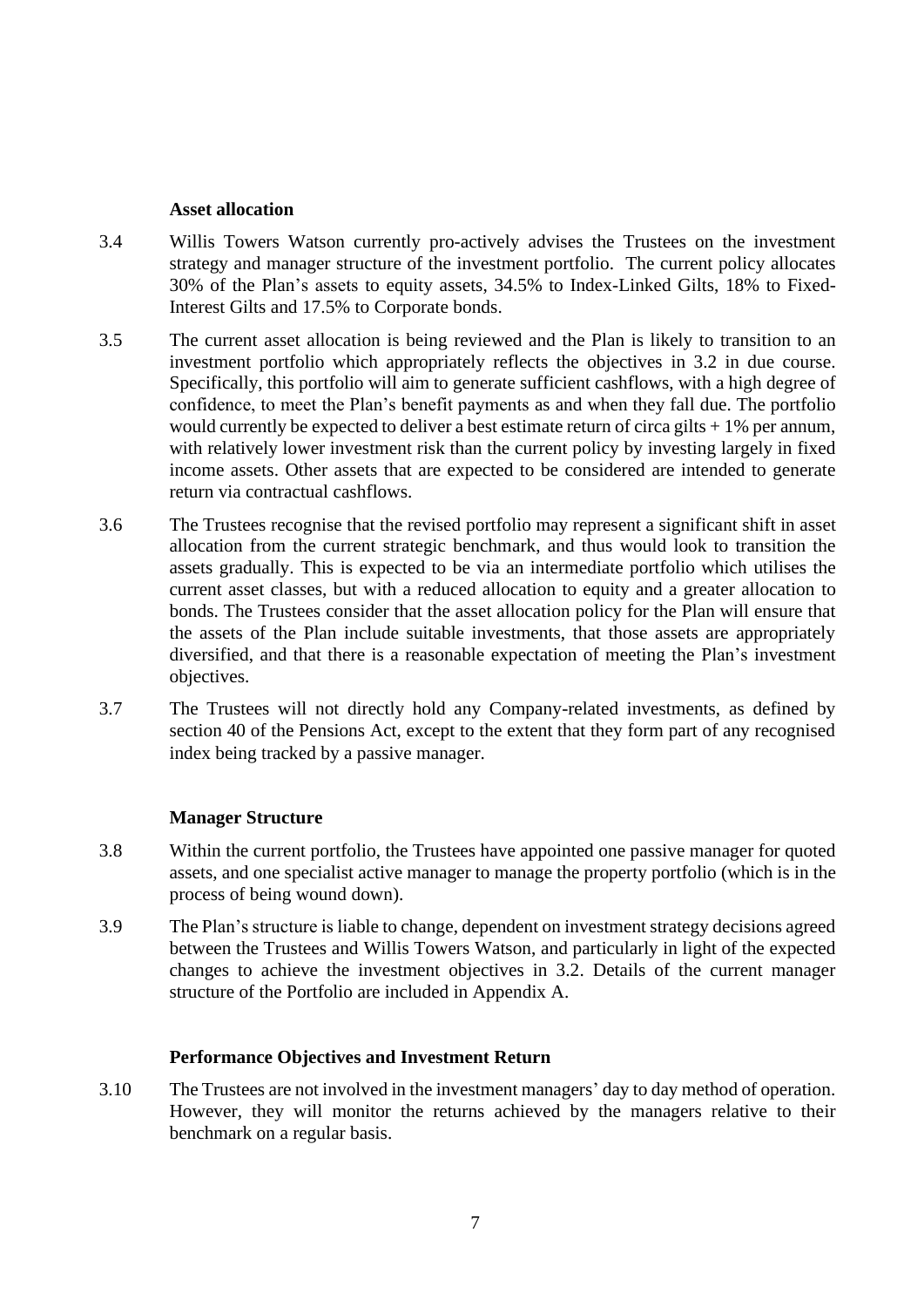#### **Asset allocation**

- 3.4 Willis Towers Watson currently pro-actively advises the Trustees on the investment strategy and manager structure of the investment portfolio. The current policy allocates 30% of the Plan's assets to equity assets, 34.5% to Index-Linked Gilts, 18% to Fixed-Interest Gilts and 17.5% to Corporate bonds.
- 3.5 The current asset allocation is being reviewed and the Plan is likely to transition to an investment portfolio which appropriately reflects the objectives in 3.2 in due course. Specifically, this portfolio will aim to generate sufficient cashflows, with a high degree of confidence, to meet the Plan's benefit payments as and when they fall due. The portfolio would currently be expected to deliver a best estimate return of circa gilts  $+1\%$  per annum, with relatively lower investment risk than the current policy by investing largely in fixed income assets. Other assets that are expected to be considered are intended to generate return via contractual cashflows.
- 3.6 The Trustees recognise that the revised portfolio may represent a significant shift in asset allocation from the current strategic benchmark, and thus would look to transition the assets gradually. This is expected to be via an intermediate portfolio which utilises the current asset classes, but with a reduced allocation to equity and a greater allocation to bonds. The Trustees consider that the asset allocation policy for the Plan will ensure that the assets of the Plan include suitable investments, that those assets are appropriately diversified, and that there is a reasonable expectation of meeting the Plan's investment objectives.
- 3.7 The Trustees will not directly hold any Company-related investments, as defined by section 40 of the Pensions Act, except to the extent that they form part of any recognised index being tracked by a passive manager.

#### **Manager Structure**

- 3.8 Within the current portfolio, the Trustees have appointed one passive manager for quoted assets, and one specialist active manager to manage the property portfolio (which is in the process of being wound down).
- 3.9 The Plan's structure is liable to change, dependent on investment strategy decisions agreed between the Trustees and Willis Towers Watson, and particularly in light of the expected changes to achieve the investment objectives in 3.2. Details of the current manager structure of the Portfolio are included in Appendix A.

#### **Performance Objectives and Investment Return**

3.10 The Trustees are not involved in the investment managers' day to day method of operation. However, they will monitor the returns achieved by the managers relative to their benchmark on a regular basis.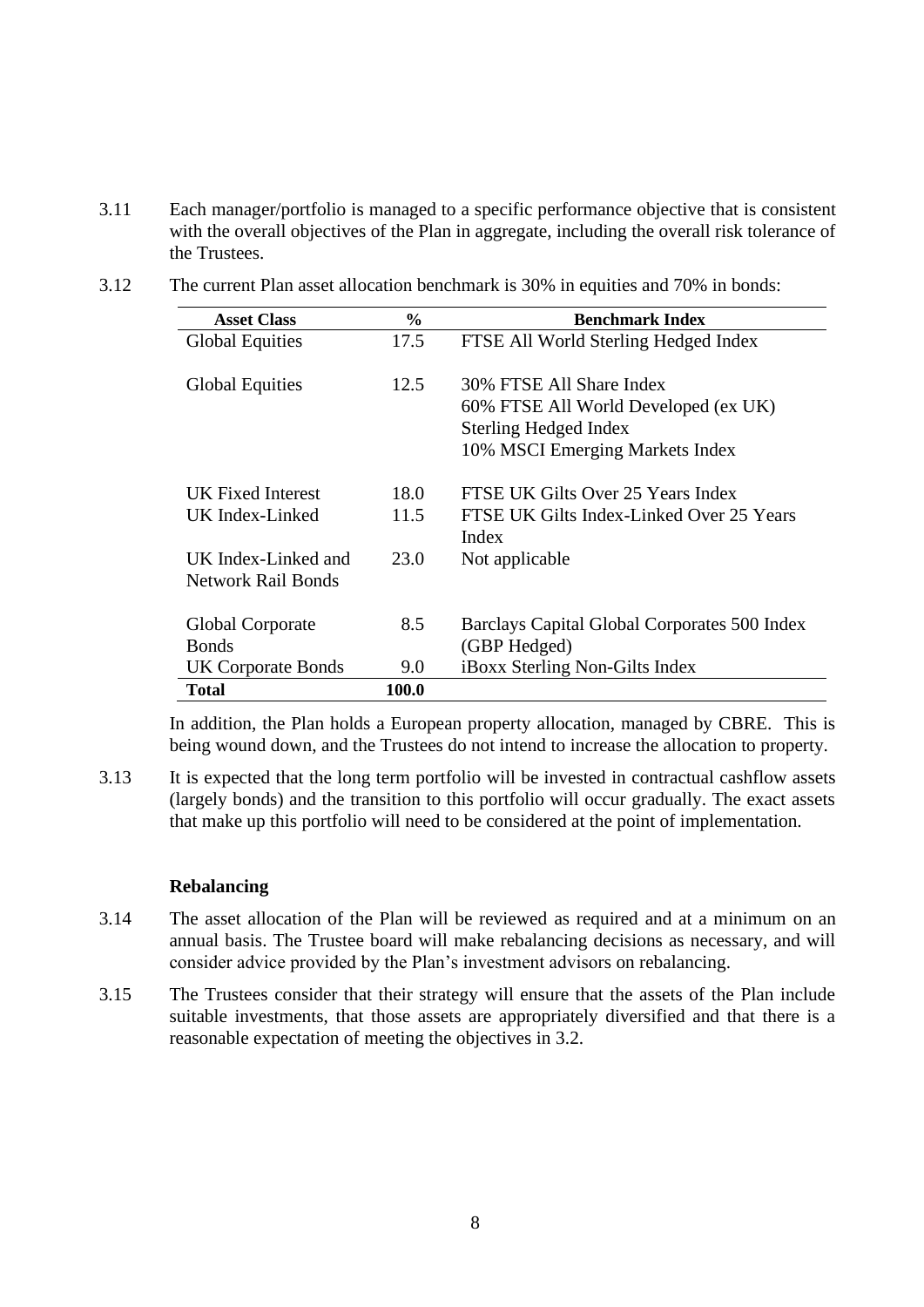- 3.11 Each manager/portfolio is managed to a specific performance objective that is consistent with the overall objectives of the Plan in aggregate, including the overall risk tolerance of the Trustees.
- 3.12 The current Plan asset allocation benchmark is 30% in equities and 70% in bonds:

| <b>Asset Class</b>        | $\frac{0}{0}$ | <b>Benchmark Index</b>                       |
|---------------------------|---------------|----------------------------------------------|
| <b>Global Equities</b>    | 17.5          | FTSE All World Sterling Hedged Index         |
|                           |               |                                              |
| <b>Global Equities</b>    | 12.5          | 30% FTSE All Share Index                     |
|                           |               | 60% FTSE All World Developed (ex UK)         |
|                           |               | <b>Sterling Hedged Index</b>                 |
|                           |               | 10% MSCI Emerging Markets Index              |
| UK Fixed Interest         | 18.0          | FTSE UK Gilts Over 25 Years Index            |
| UK Index-Linked           | 11.5          | FTSE UK Gilts Index-Linked Over 25 Years     |
|                           |               | Index                                        |
| UK Index-Linked and       | 23.0          | Not applicable                               |
| <b>Network Rail Bonds</b> |               |                                              |
| Global Corporate          | 8.5           | Barclays Capital Global Corporates 500 Index |
| <b>Bonds</b>              |               | (GBP Hedged)                                 |
| <b>UK Corporate Bonds</b> | 9.0           | iBoxx Sterling Non-Gilts Index               |
| <b>Total</b>              | 100.0         |                                              |

In addition, the Plan holds a European property allocation, managed by CBRE. This is being wound down, and the Trustees do not intend to increase the allocation to property.

3.13 It is expected that the long term portfolio will be invested in contractual cashflow assets (largely bonds) and the transition to this portfolio will occur gradually. The exact assets that make up this portfolio will need to be considered at the point of implementation.

#### **Rebalancing**

- 3.14 The asset allocation of the Plan will be reviewed as required and at a minimum on an annual basis. The Trustee board will make rebalancing decisions as necessary, and will consider advice provided by the Plan's investment advisors on rebalancing.
- 3.15 The Trustees consider that their strategy will ensure that the assets of the Plan include suitable investments, that those assets are appropriately diversified and that there is a reasonable expectation of meeting the objectives in 3.2.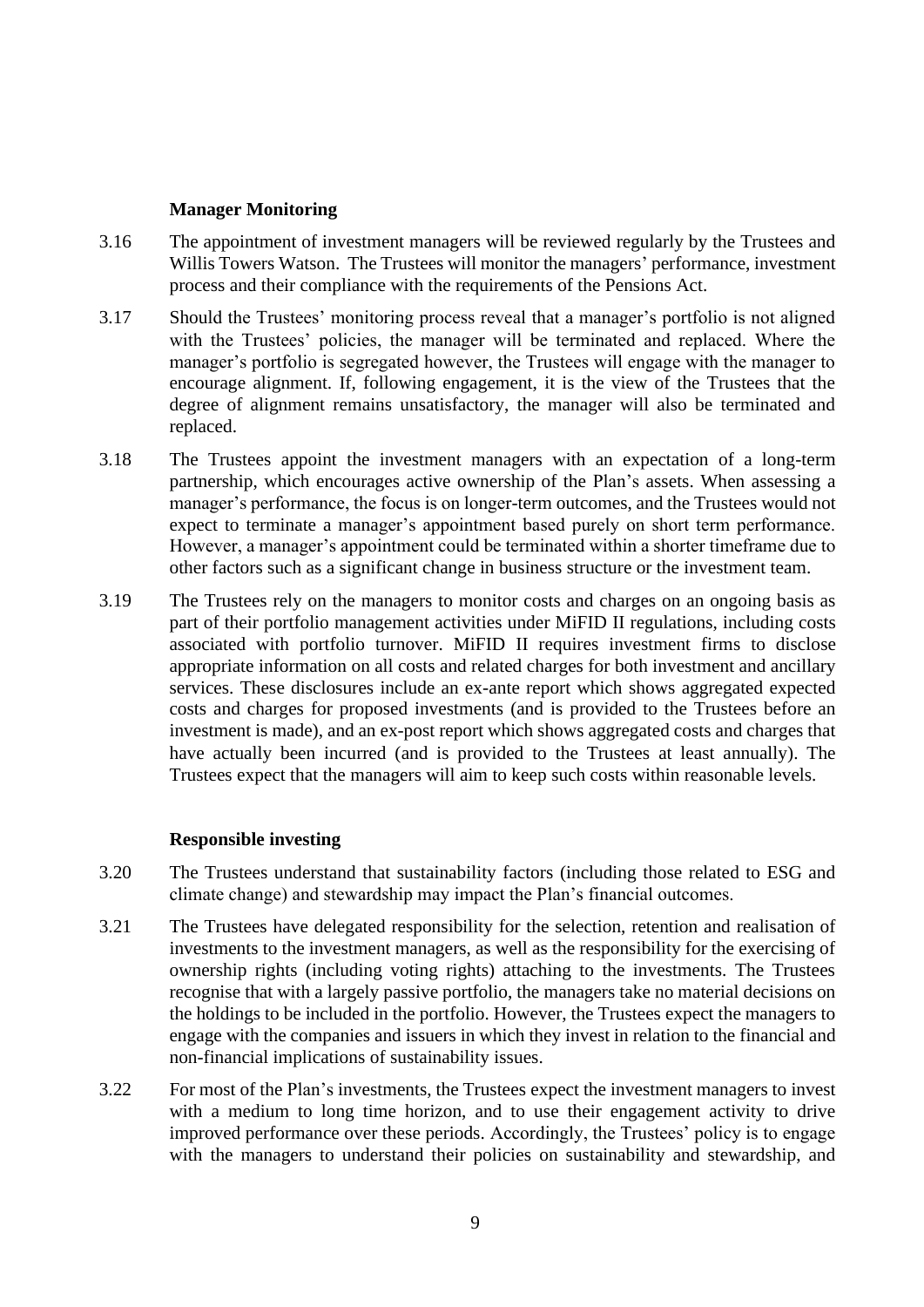#### **Manager Monitoring**

- 3.16 The appointment of investment managers will be reviewed regularly by the Trustees and Willis Towers Watson. The Trustees will monitor the managers' performance, investment process and their compliance with the requirements of the Pensions Act.
- 3.17 Should the Trustees' monitoring process reveal that a manager's portfolio is not aligned with the Trustees' policies, the manager will be terminated and replaced. Where the manager's portfolio is segregated however, the Trustees will engage with the manager to encourage alignment. If, following engagement, it is the view of the Trustees that the degree of alignment remains unsatisfactory, the manager will also be terminated and replaced.
- 3.18 The Trustees appoint the investment managers with an expectation of a long-term partnership, which encourages active ownership of the Plan's assets. When assessing a manager's performance, the focus is on longer-term outcomes, and the Trustees would not expect to terminate a manager's appointment based purely on short term performance. However, a manager's appointment could be terminated within a shorter timeframe due to other factors such as a significant change in business structure or the investment team.
- 3.19 The Trustees rely on the managers to monitor costs and charges on an ongoing basis as part of their portfolio management activities under MiFID II regulations, including costs associated with portfolio turnover. MiFID II requires investment firms to disclose appropriate information on all costs and related charges for both investment and ancillary services. These disclosures include an ex-ante report which shows aggregated expected costs and charges for proposed investments (and is provided to the Trustees before an investment is made), and an ex-post report which shows aggregated costs and charges that have actually been incurred (and is provided to the Trustees at least annually). The Trustees expect that the managers will aim to keep such costs within reasonable levels.

#### **Responsible investing**

- 3.20 The Trustees understand that sustainability factors (including those related to ESG and climate change) and stewardship may impact the Plan's financial outcomes.
- 3.21 The Trustees have delegated responsibility for the selection, retention and realisation of investments to the investment managers, as well as the responsibility for the exercising of ownership rights (including voting rights) attaching to the investments. The Trustees recognise that with a largely passive portfolio, the managers take no material decisions on the holdings to be included in the portfolio. However, the Trustees expect the managers to engage with the companies and issuers in which they invest in relation to the financial and non-financial implications of sustainability issues.
- 3.22 For most of the Plan's investments, the Trustees expect the investment managers to invest with a medium to long time horizon, and to use their engagement activity to drive improved performance over these periods. Accordingly, the Trustees' policy is to engage with the managers to understand their policies on sustainability and stewardship, and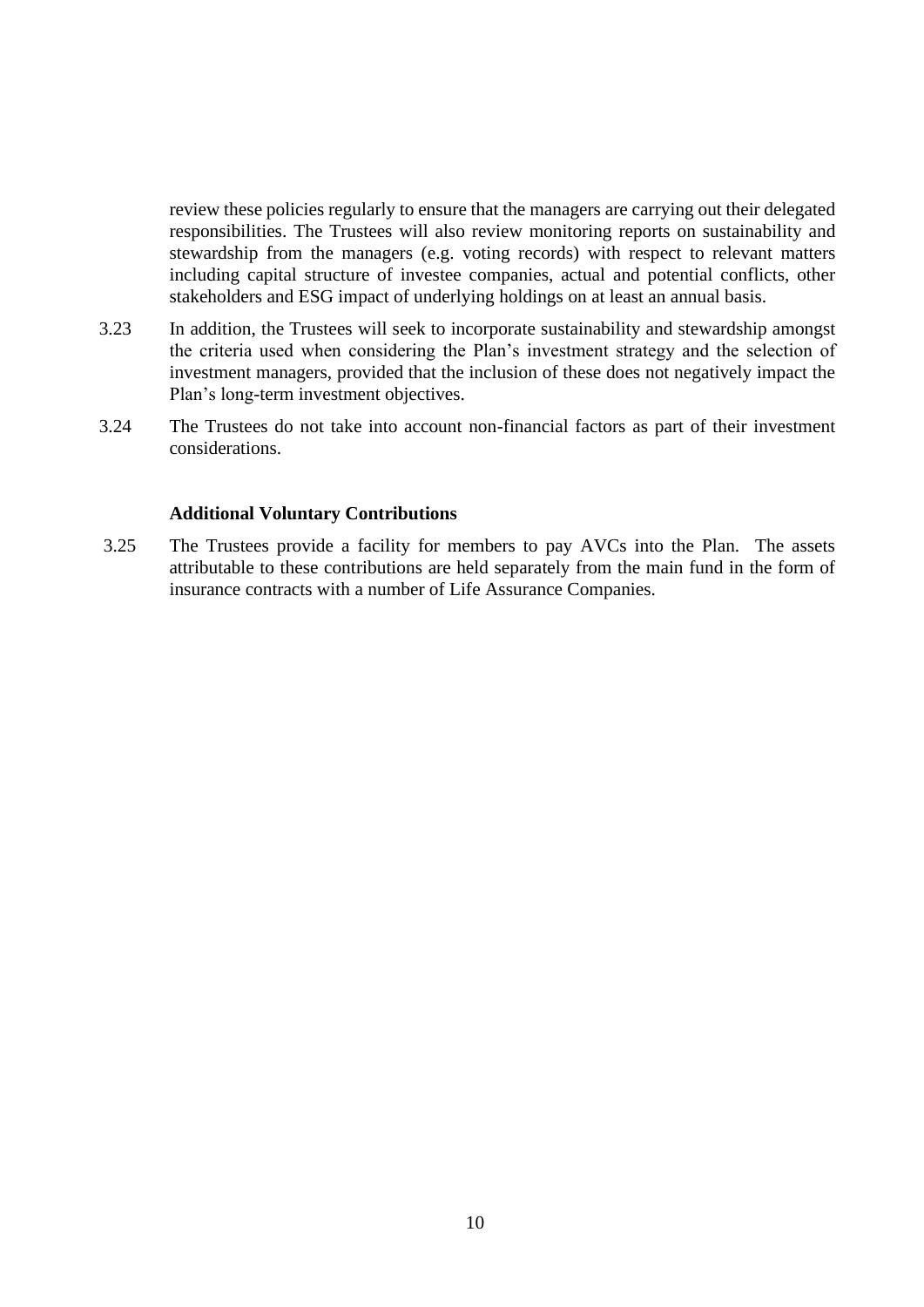review these policies regularly to ensure that the managers are carrying out their delegated responsibilities. The Trustees will also review monitoring reports on sustainability and stewardship from the managers (e.g. voting records) with respect to relevant matters including capital structure of investee companies, actual and potential conflicts, other stakeholders and ESG impact of underlying holdings on at least an annual basis.

- 3.23 In addition, the Trustees will seek to incorporate sustainability and stewardship amongst the criteria used when considering the Plan's investment strategy and the selection of investment managers, provided that the inclusion of these does not negatively impact the Plan's long-term investment objectives.
- 3.24 The Trustees do not take into account non-financial factors as part of their investment considerations.

#### **Additional Voluntary Contributions**

3.25 The Trustees provide a facility for members to pay AVCs into the Plan. The assets attributable to these contributions are held separately from the main fund in the form of insurance contracts with a number of Life Assurance Companies.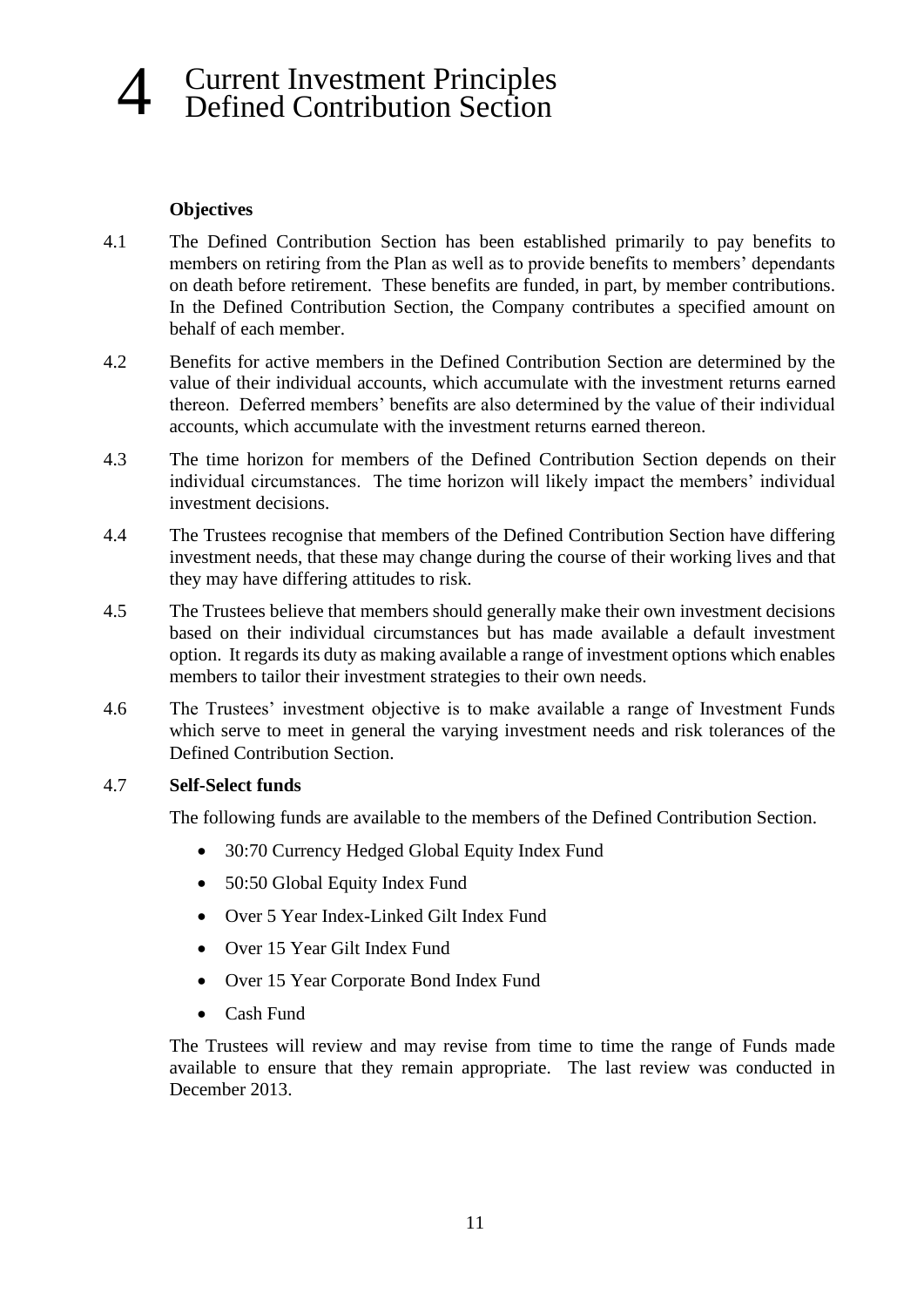## 4 Current Investment Principles Defined Contribution Section

#### **Objectives**

- 4.1 The Defined Contribution Section has been established primarily to pay benefits to members on retiring from the Plan as well as to provide benefits to members' dependants on death before retirement. These benefits are funded, in part, by member contributions. In the Defined Contribution Section, the Company contributes a specified amount on behalf of each member.
- 4.2 Benefits for active members in the Defined Contribution Section are determined by the value of their individual accounts, which accumulate with the investment returns earned thereon. Deferred members' benefits are also determined by the value of their individual accounts, which accumulate with the investment returns earned thereon.
- 4.3 The time horizon for members of the Defined Contribution Section depends on their individual circumstances. The time horizon will likely impact the members' individual investment decisions.
- 4.4 The Trustees recognise that members of the Defined Contribution Section have differing investment needs, that these may change during the course of their working lives and that they may have differing attitudes to risk.
- 4.5 The Trustees believe that members should generally make their own investment decisions based on their individual circumstances but has made available a default investment option. It regards its duty as making available a range of investment options which enables members to tailor their investment strategies to their own needs.
- 4.6 The Trustees' investment objective is to make available a range of Investment Funds which serve to meet in general the varying investment needs and risk tolerances of the Defined Contribution Section.

#### 4.7 **Self-Select funds**

The following funds are available to the members of the Defined Contribution Section.

- 30:70 Currency Hedged Global Equity Index Fund
- 50:50 Global Equity Index Fund
- Over 5 Year Index-Linked Gilt Index Fund
- Over 15 Year Gilt Index Fund
- Over 15 Year Corporate Bond Index Fund
- Cash Fund

The Trustees will review and may revise from time to time the range of Funds made available to ensure that they remain appropriate. The last review was conducted in December 2013.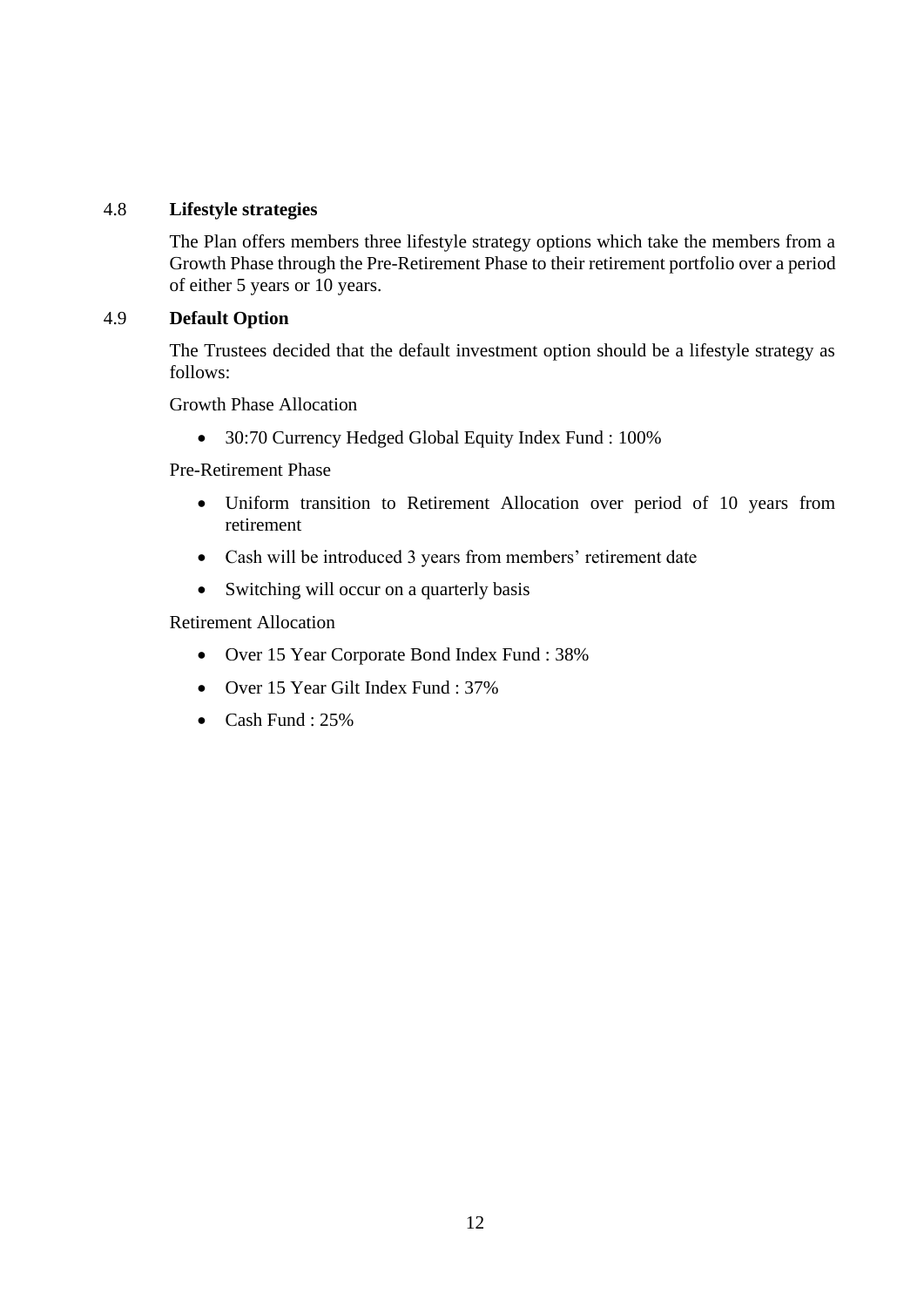#### 4.8 **Lifestyle strategies**

The Plan offers members three lifestyle strategy options which take the members from a Growth Phase through the Pre-Retirement Phase to their retirement portfolio over a period of either 5 years or 10 years.

#### 4.9 **Default Option**

The Trustees decided that the default investment option should be a lifestyle strategy as follows:

Growth Phase Allocation

• 30:70 Currency Hedged Global Equity Index Fund : 100%

Pre-Retirement Phase

- Uniform transition to Retirement Allocation over period of 10 years from retirement
- Cash will be introduced 3 years from members' retirement date
- Switching will occur on a quarterly basis

Retirement Allocation

- Over 15 Year Corporate Bond Index Fund : 38%
- Over 15 Year Gilt Index Fund : 37%
- Cash Fund : 25%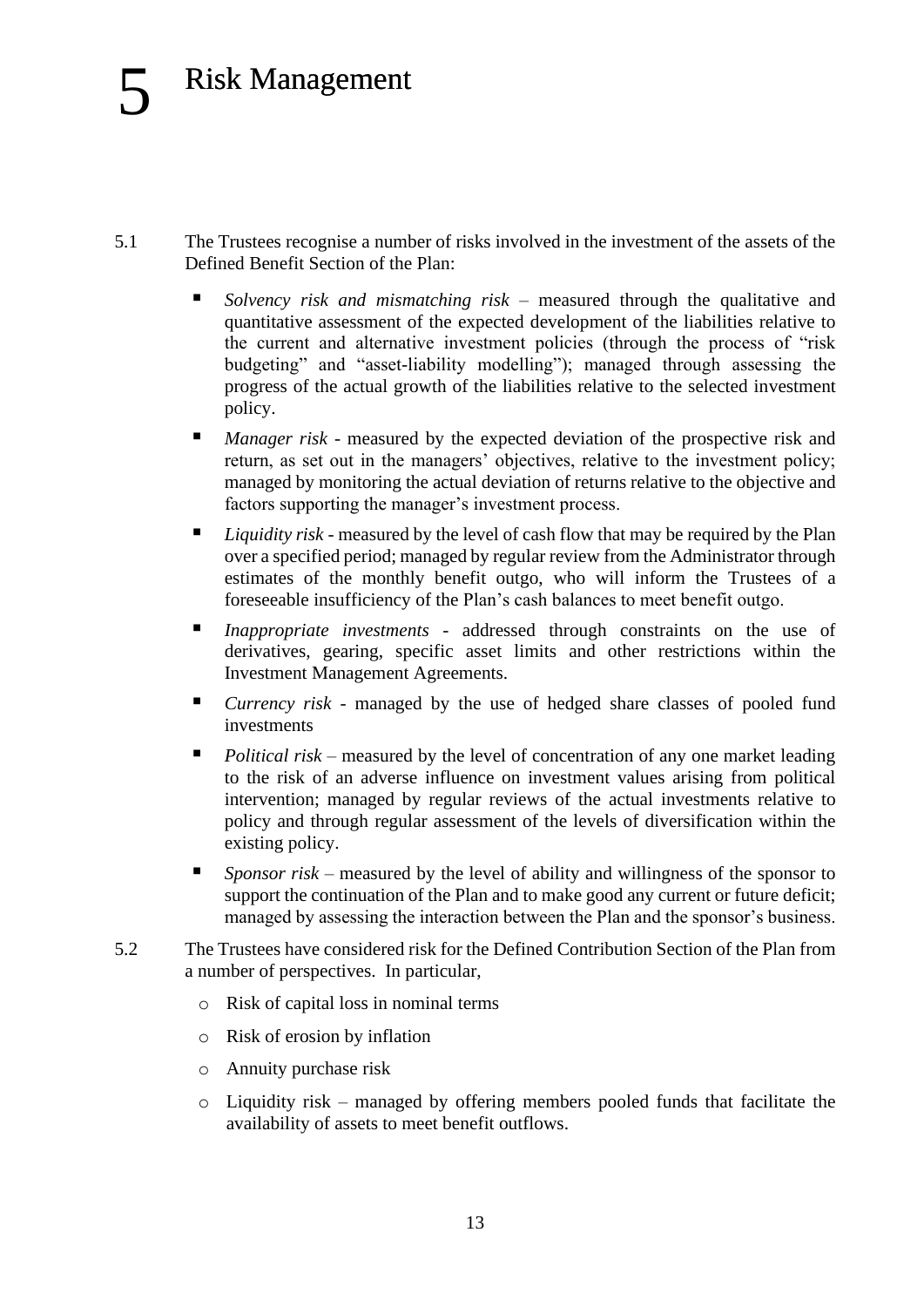- 5.1 The Trustees recognise a number of risks involved in the investment of the assets of the Defined Benefit Section of the Plan:
	- Solvency risk and mismatching risk measured through the qualitative and quantitative assessment of the expected development of the liabilities relative to the current and alternative investment policies (through the process of "risk budgeting" and "asset-liability modelling"); managed through assessing the progress of the actual growth of the liabilities relative to the selected investment policy.
	- *Manager risk* measured by the expected deviation of the prospective risk and return, as set out in the managers' objectives, relative to the investment policy; managed by monitoring the actual deviation of returns relative to the objective and factors supporting the manager's investment process.
	- *Liquidity risk* measured by the level of cash flow that may be required by the Plan over a specified period; managed by regular review from the Administrator through estimates of the monthly benefit outgo, who will inform the Trustees of a foreseeable insufficiency of the Plan's cash balances to meet benefit outgo.
	- *Inappropriate investments* addressed through constraints on the use of derivatives, gearing, specific asset limits and other restrictions within the Investment Management Agreements.
	- *Currency risk* managed by the use of hedged share classes of pooled fund investments
	- *Political risk* measured by the level of concentration of any one market leading to the risk of an adverse influence on investment values arising from political intervention; managed by regular reviews of the actual investments relative to policy and through regular assessment of the levels of diversification within the existing policy.
	- Sponsor risk measured by the level of ability and willingness of the sponsor to support the continuation of the Plan and to make good any current or future deficit; managed by assessing the interaction between the Plan and the sponsor's business.
- 5.2 The Trustees have considered risk for the Defined Contribution Section of the Plan from a number of perspectives. In particular,
	- o Risk of capital loss in nominal terms
	- o Risk of erosion by inflation
	- o Annuity purchase risk
	- o Liquidity risk managed by offering members pooled funds that facilitate the availability of assets to meet benefit outflows.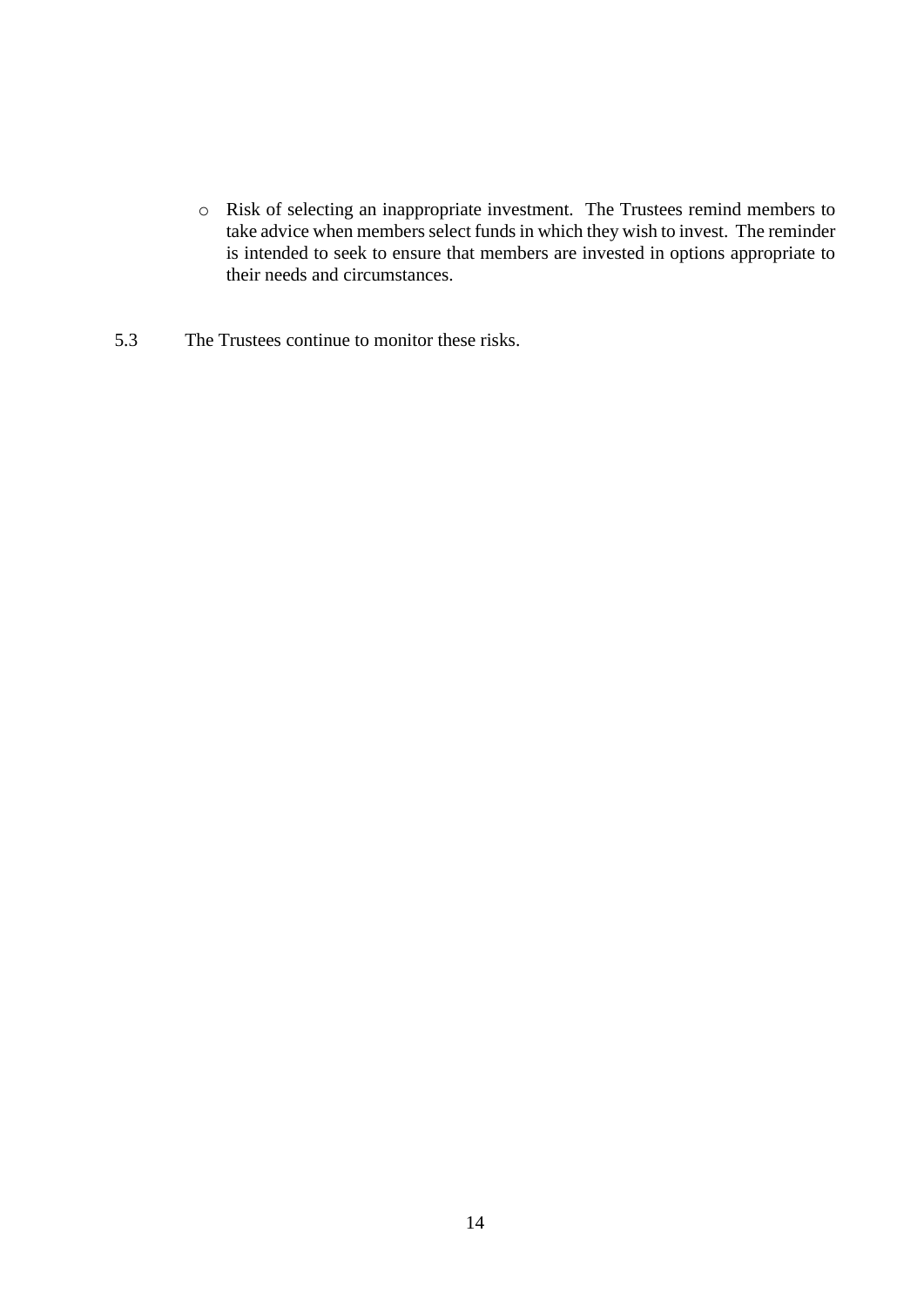- o Risk of selecting an inappropriate investment. The Trustees remind members to take advice when members select funds in which they wish to invest. The reminder is intended to seek to ensure that members are invested in options appropriate to their needs and circumstances.
- 5.3 The Trustees continue to monitor these risks.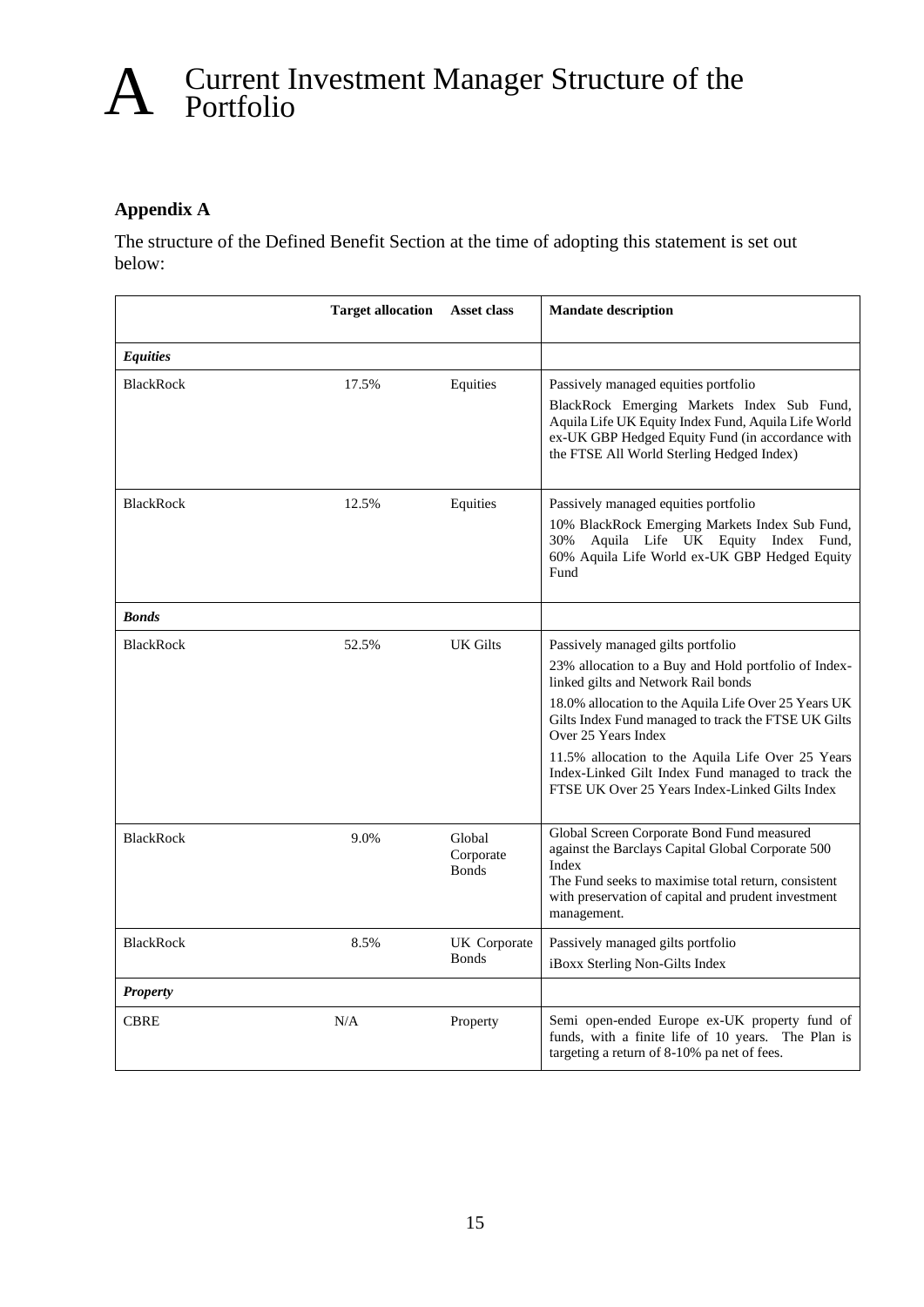# A Current Investment Manager Structure of the Portfolio

### **Appendix A**

The structure of the Defined Benefit Section at the time of adopting this statement is set out below:

|                  | <b>Target allocation</b> | Asset class                         | <b>Mandate description</b>                                                                                                                                                                                                                                                                                                                                                                                                         |
|------------------|--------------------------|-------------------------------------|------------------------------------------------------------------------------------------------------------------------------------------------------------------------------------------------------------------------------------------------------------------------------------------------------------------------------------------------------------------------------------------------------------------------------------|
| <b>Equities</b>  |                          |                                     |                                                                                                                                                                                                                                                                                                                                                                                                                                    |
| <b>BlackRock</b> | 17.5%                    | Equities                            | Passively managed equities portfolio<br>BlackRock Emerging Markets Index Sub Fund,<br>Aquila Life UK Equity Index Fund, Aquila Life World<br>ex-UK GBP Hedged Equity Fund (in accordance with<br>the FTSE All World Sterling Hedged Index)                                                                                                                                                                                         |
| <b>BlackRock</b> | 12.5%                    | Equities                            | Passively managed equities portfolio<br>10% BlackRock Emerging Markets Index Sub Fund,<br>Aquila Life UK Equity Index Fund,<br>30%<br>60% Aquila Life World ex-UK GBP Hedged Equity<br>Fund                                                                                                                                                                                                                                        |
| <b>Bonds</b>     |                          |                                     |                                                                                                                                                                                                                                                                                                                                                                                                                                    |
| <b>BlackRock</b> | 52.5%                    | <b>UK Gilts</b>                     | Passively managed gilts portfolio<br>23% allocation to a Buy and Hold portfolio of Index-<br>linked gilts and Network Rail bonds<br>18.0% allocation to the Aquila Life Over 25 Years UK<br>Gilts Index Fund managed to track the FTSE UK Gilts<br>Over 25 Years Index<br>11.5% allocation to the Aquila Life Over 25 Years<br>Index-Linked Gilt Index Fund managed to track the<br>FTSE UK Over 25 Years Index-Linked Gilts Index |
| <b>BlackRock</b> | 9.0%                     | Global<br>Corporate<br><b>Bonds</b> | Global Screen Corporate Bond Fund measured<br>against the Barclays Capital Global Corporate 500<br>Index<br>The Fund seeks to maximise total return, consistent<br>with preservation of capital and prudent investment<br>management.                                                                                                                                                                                              |
| <b>BlackRock</b> | 8.5%                     | UK Corporate<br><b>Bonds</b>        | Passively managed gilts portfolio<br>iBoxx Sterling Non-Gilts Index                                                                                                                                                                                                                                                                                                                                                                |
| <b>Property</b>  |                          |                                     |                                                                                                                                                                                                                                                                                                                                                                                                                                    |
| <b>CBRE</b>      | N/A                      | Property                            | Semi open-ended Europe ex-UK property fund of<br>funds, with a finite life of 10 years. The Plan is<br>targeting a return of 8-10% pa net of fees.                                                                                                                                                                                                                                                                                 |